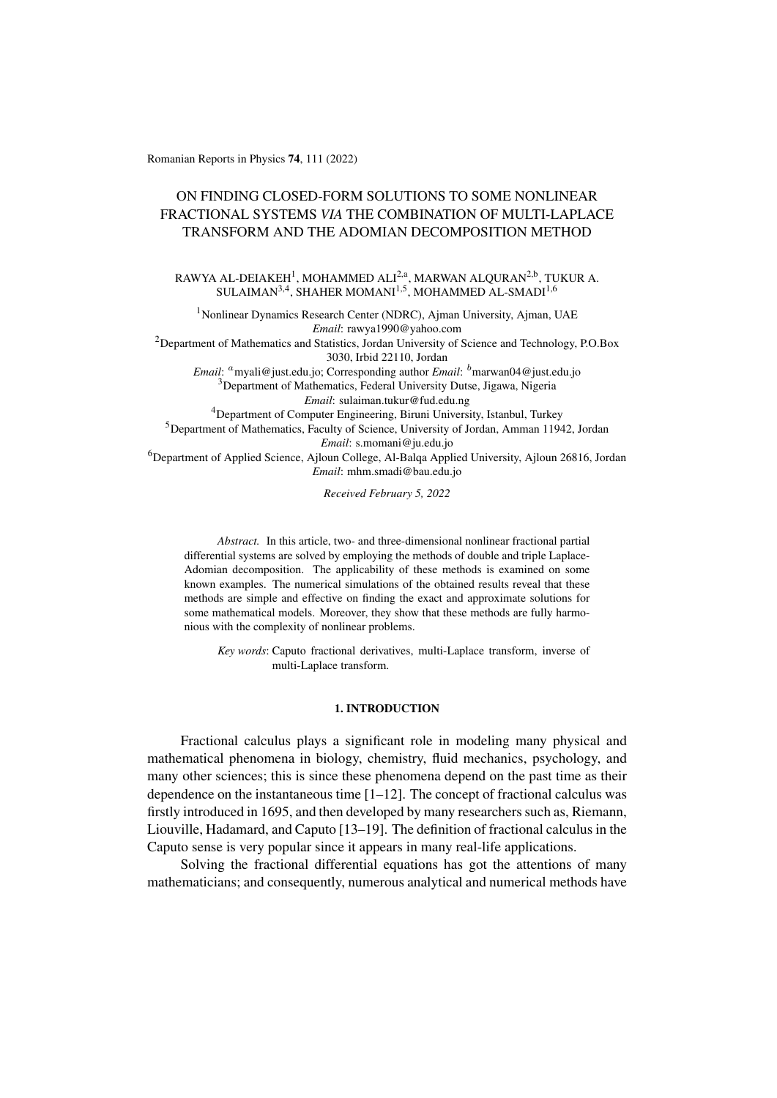Romanian Reports in Physics 74, 111 (2022)

# ON FINDING CLOSED-FORM SOLUTIONS TO SOME NONLINEAR FRACTIONAL SYSTEMS *VIA* THE COMBINATION OF MULTI-LAPLACE TRANSFORM AND THE ADOMIAN DECOMPOSITION METHOD

RAWYA AL-DEIAKEH $^1$ , MOHAMMED ALI $^{2, a}$ , MARWAN ALQURAN $^{2, b}$ , TUKUR A. SULAIMAN<sup>3,4</sup>, SHAHER MOMANI<sup>1,5</sup>, MOHAMMED AL-SMADI<sup>1,6</sup>

<sup>1</sup> Nonlinear Dynamics Research Center (NDRC), Ajman University, Ajman, UAE *Email*: rawya1990@yahoo.com <sup>2</sup>Department of Mathematics and Statistics, Jordan University of Science and Technology, P.O.Box 3030, Irbid 22110, Jordan *Email*: <sup>a</sup>myali@just.edu.jo; Corresponding author *Email*: <sup>b</sup>marwan04@just.edu.jo <sup>3</sup>Department of Mathematics, Federal University Dutse, Jigawa, Nigeria *Email*: sulaiman.tukur@fud.edu.ng <sup>4</sup>Department of Computer Engineering, Biruni University, Istanbul, Turkey <sup>5</sup>Department of Mathematics, Faculty of Science, University of Jordan, Amman 11942, Jordan *Email*: s.momani@ju.edu.jo <sup>6</sup>Department of Applied Science, Ajloun College, Al-Balqa Applied University, Ajloun 26816, Jordan *Email*: mhm.smadi@bau.edu.jo

*Received February 5, 2022*

*Abstract.* In this article, two- and three-dimensional nonlinear fractional partial differential systems are solved by employing the methods of double and triple Laplace-Adomian decomposition. The applicability of these methods is examined on some known examples. The numerical simulations of the obtained results reveal that these methods are simple and effective on finding the exact and approximate solutions for some mathematical models. Moreover, they show that these methods are fully harmonious with the complexity of nonlinear problems.

*Key words*: Caputo fractional derivatives, multi-Laplace transform, inverse of multi-Laplace transform.

## 1. INTRODUCTION

Fractional calculus plays a significant role in modeling many physical and mathematical phenomena in biology, chemistry, fluid mechanics, psychology, and many other sciences; this is since these phenomena depend on the past time as their dependence on the instantaneous time  $[1-12]$  $[1-12]$ . The concept of fractional calculus was firstly introduced in 1695, and then developed by many researchers such as, Riemann, Liouville, Hadamard, and Caputo [\[13](#page-14-1)[–19\]](#page-14-2). The definition of fractional calculus in the Caputo sense is very popular since it appears in many real-life applications.

Solving the fractional differential equations has got the attentions of many mathematicians; and consequently, numerous analytical and numerical methods have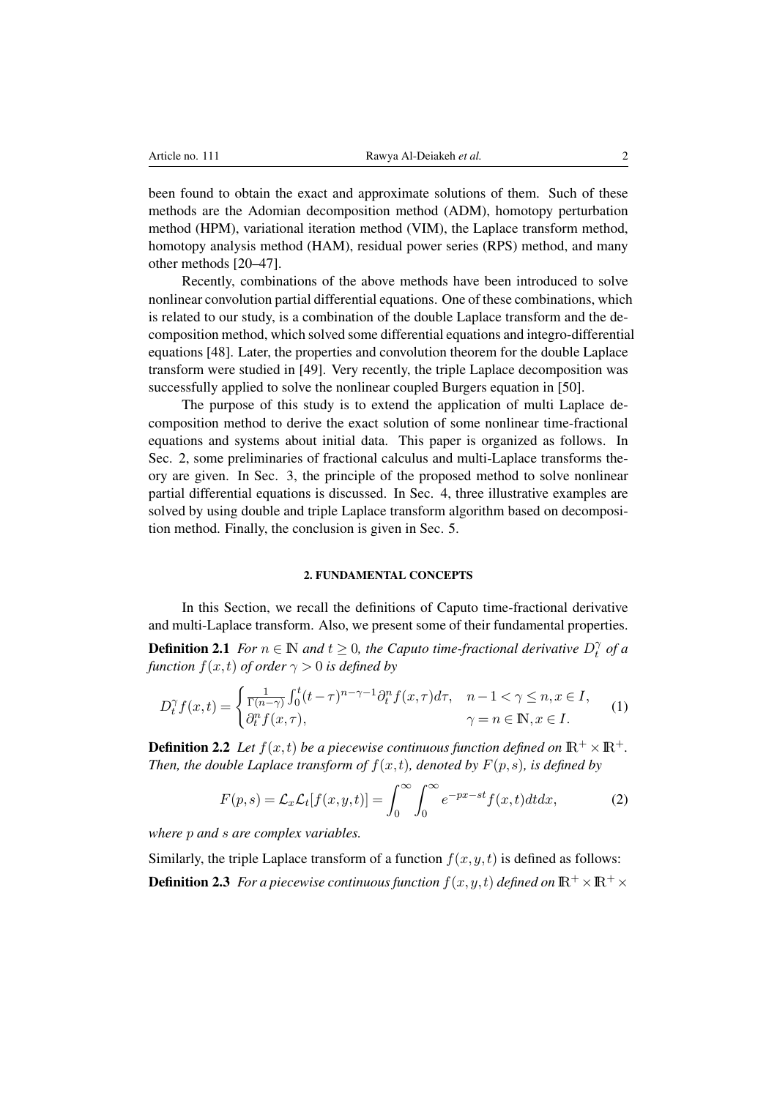been found to obtain the exact and approximate solutions of them. Such of these methods are the Adomian decomposition method (ADM), homotopy perturbation method (HPM), variational iteration method (VIM), the Laplace transform method, homotopy analysis method (HAM), residual power series (RPS) method, and many other methods [\[20–](#page-14-3)[47\]](#page-16-0).

Recently, combinations of the above methods have been introduced to solve nonlinear convolution partial differential equations. One of these combinations, which is related to our study, is a combination of the double Laplace transform and the decomposition method, which solved some differential equations and integro-differential equations [\[48\]](#page-16-1). Later, the properties and convolution theorem for the double Laplace transform were studied in [\[49\]](#page-16-2). Very recently, the triple Laplace decomposition was successfully applied to solve the nonlinear coupled Burgers equation in [\[50\]](#page-16-3).

The purpose of this study is to extend the application of multi Laplace decomposition method to derive the exact solution of some nonlinear time-fractional equations and systems about initial data. This paper is organized as follows. In Sec. 2, some preliminaries of fractional calculus and multi-Laplace transforms theory are given. In Sec. 3, the principle of the proposed method to solve nonlinear partial differential equations is discussed. In Sec. 4, three illustrative examples are solved by using double and triple Laplace transform algorithm based on decomposition method. Finally, the conclusion is given in Sec. 5.

#### 2. FUNDAMENTAL CONCEPTS

In this Section, we recall the definitions of Caputo time-fractional derivative and multi-Laplace transform. Also, we present some of their fundamental properties.

**Definition 2.1** *For*  $n \in \mathbb{N}$  *and*  $t \geq 0$ *, the Caputo time-fractional derivative*  $D_t^{\gamma}$  $\int\limits_t^{\gamma}$  of a *function*  $f(x,t)$  *of order*  $\gamma > 0$  *is defined by* 

$$
D_t^{\gamma} f(x,t) = \begin{cases} \frac{1}{\Gamma(n-\gamma)} \int_0^t (t-\tau)^{n-\gamma-1} \partial_t^n f(x,\tau) d\tau, & n-1 < \gamma \le n, x \in I, \\ \partial_t^n f(x,\tau), & \gamma = n \in \mathbb{N}, x \in I. \end{cases}
$$
(1)

**Definition 2.2** Let  $f(x,t)$  be a piecewise continuous function defined on  $\mathbb{R}^+ \times \mathbb{R}^+$ . *Then, the double Laplace transform of*  $f(x,t)$ *, denoted by*  $F(p,s)$ *, is defined by* 

$$
F(p,s) = \mathcal{L}_x \mathcal{L}_t[f(x,y,t)] = \int_0^\infty \int_0^\infty e^{-px - st} f(x,t) dt dx, \tag{2}
$$

*where* p *and* s *are complex variables.*

Similarly, the triple Laplace transform of a function  $f(x, y, t)$  is defined as follows: **Definition 2.3** *For a piecewise continuous function*  $f(x,y,t)$  *defined on*  $\mathbb{R}^+ \times \mathbb{R}^+ \times$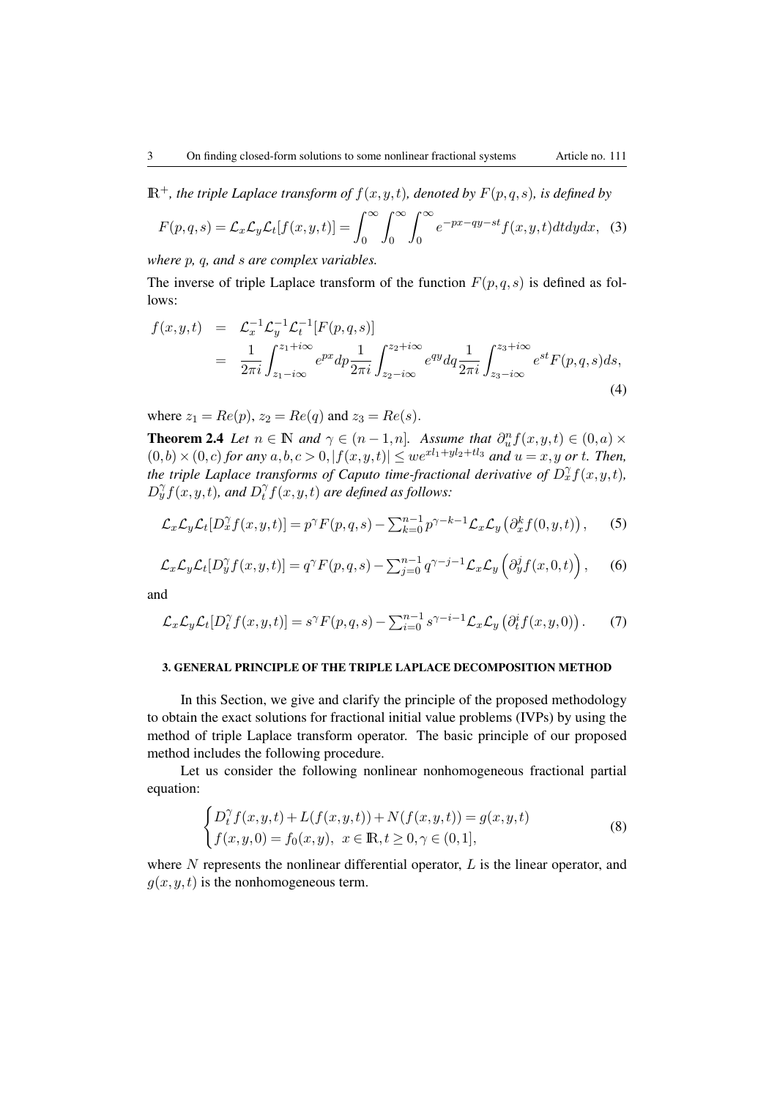$\mathbb{R}^+$ *, the triple Laplace transform of*  $f(x, y, t)$ *, denoted by*  $F(p, q, s)$ *, is defined by* 

$$
F(p,q,s) = \mathcal{L}_x \mathcal{L}_y \mathcal{L}_t[f(x,y,t)] = \int_0^\infty \int_0^\infty \int_0^\infty e^{-px-qy-st} f(x,y,t) dt dy dx, \tag{3}
$$

*where* p*,* q*, and* s *are complex variables.*

The inverse of triple Laplace transform of the function  $F(p,q,s)$  is defined as follows:

$$
f(x,y,t) = \mathcal{L}_x^{-1} \mathcal{L}_y^{-1} \mathcal{L}_t^{-1} [F(p,q,s)]
$$
  
= 
$$
\frac{1}{2\pi i} \int_{z_1 - i\infty}^{z_1 + i\infty} e^{px} dp \frac{1}{2\pi i} \int_{z_2 - i\infty}^{z_2 + i\infty} e^{qy} dq \frac{1}{2\pi i} \int_{z_3 - i\infty}^{z_3 + i\infty} e^{st} F(p,q,s) ds,
$$
(4)

where  $z_1 = Re(p), z_2 = Re(q)$  and  $z_3 = Re(s)$ .

**Theorem 2.4** *Let*  $n \in \mathbb{N}$  *and*  $\gamma \in (n-1,n]$ *. Assume that*  $\partial_u^n f(x,y,t) \in (0,a) \times$  $(0,b) \times (0, c)$  *for any*  $a, b, c > 0, |f(x, y, t)| \leq we^{x l_1 + y l_2 + t l_3}$  *and*  $u = x, y$  *or t. Then, the triple Laplace transforms of Caputo time-fractional derivative of*  $D_x^{\gamma}f(x,y,t)$ *,*  $D_y^{\gamma} f(x, y, t)$ , and  $D_t^{\gamma}$  $\int\limits_t^\gamma f(x,y,t)$  are defined as follows:

$$
\mathcal{L}_x \mathcal{L}_y \mathcal{L}_t[D_x^{\gamma} f(x, y, t)] = p^{\gamma} F(p, q, s) - \sum_{k=0}^{n-1} p^{\gamma - k - 1} \mathcal{L}_x \mathcal{L}_y\left(\partial_x^k f(0, y, t)\right),\tag{5}
$$

$$
\mathcal{L}_x \mathcal{L}_y \mathcal{L}_t[D_y^\gamma f(x, y, t)] = q^\gamma F(p, q, s) - \sum_{j=0}^{n-1} q^{\gamma - j - 1} \mathcal{L}_x \mathcal{L}_y\left(\partial_y^j f(x, 0, t)\right),\tag{6}
$$

and

$$
\mathcal{L}_x \mathcal{L}_y \mathcal{L}_t[D_t^\gamma f(x, y, t)] = s^\gamma F(p, q, s) - \sum_{i=0}^{n-1} s^{\gamma - i - 1} \mathcal{L}_x \mathcal{L}_y\left(\partial_t^i f(x, y, 0)\right). \tag{7}
$$

### 3. GENERAL PRINCIPLE OF THE TRIPLE LAPLACE DECOMPOSITION METHOD

In this Section, we give and clarify the principle of the proposed methodology to obtain the exact solutions for fractional initial value problems (IVPs) by using the method of triple Laplace transform operator. The basic principle of our proposed method includes the following procedure.

Let us consider the following nonlinear nonhomogeneous fractional partial equation:

<span id="page-2-0"></span>
$$
\begin{cases}\nD_t^{\gamma} f(x, y, t) + L(f(x, y, t)) + N(f(x, y, t)) = g(x, y, t) \\
f(x, y, 0) = f_0(x, y), \ x \in \mathbb{R}, t \ge 0, \gamma \in (0, 1],\n\end{cases}
$$
\n(8)

where  $N$  represents the nonlinear differential operator,  $L$  is the linear operator, and  $g(x, y, t)$  is the nonhomogeneous term.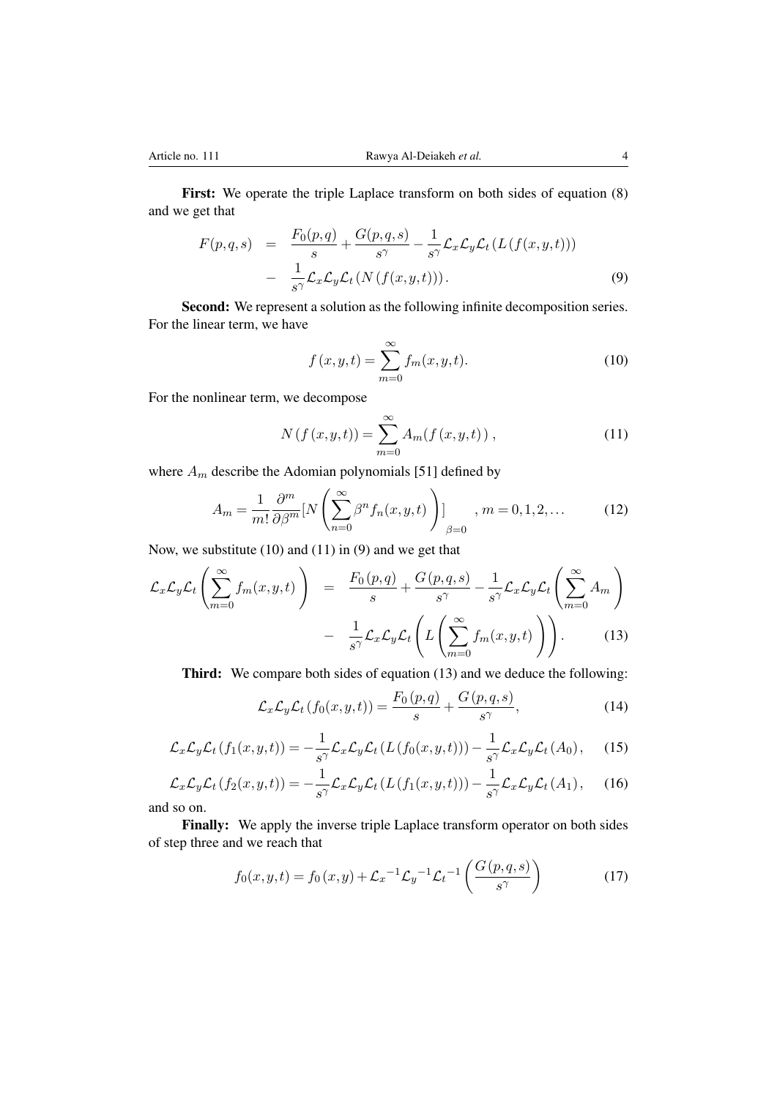First: We operate the triple Laplace transform on both sides of equation [\(8\)](#page-2-0) and we get that

$$
F(p,q,s) = \frac{F_0(p,q)}{s} + \frac{G(p,q,s)}{s^{\gamma}} - \frac{1}{s^{\gamma}} \mathcal{L}_x \mathcal{L}_y \mathcal{L}_t (L(f(x,y,t)))
$$
  
- 
$$
\frac{1}{s^{\gamma}} \mathcal{L}_x \mathcal{L}_y \mathcal{L}_t (N(f(x,y,t))).
$$
 (9)

Second: We represent a solution as the following infinite decomposition series. For the linear term, we have

$$
f(x, y, t) = \sum_{m=0}^{\infty} f_m(x, y, t).
$$
 (10)

For the nonlinear term, we decompose

$$
N(f(x, y, t)) = \sum_{m=0}^{\infty} A_m(f(x, y, t)),
$$
\n(11)

where  $A_m$  describe the Adomian polynomials [\[51\]](#page-16-4) defined by

$$
A_m = \frac{1}{m!} \frac{\partial^m}{\partial \beta^m} [N \left( \sum_{n=0}^{\infty} \beta^n f_n(x, y, t) \right)]_{\beta=0}, \quad m = 0, 1, 2, \dots
$$
 (12)

Now, we substitute (10) and (11) in (9) and we get that

$$
\mathcal{L}_x \mathcal{L}_y \mathcal{L}_t \left( \sum_{m=0}^{\infty} f_m(x, y, t) \right) = \frac{F_0(p, q)}{s} + \frac{G(p, q, s)}{s^{\gamma}} - \frac{1}{s^{\gamma}} \mathcal{L}_x \mathcal{L}_y \mathcal{L}_t \left( \sum_{m=0}^{\infty} A_m \right) - \frac{1}{s^{\gamma}} \mathcal{L}_x \mathcal{L}_y \mathcal{L}_t \left( L \left( \sum_{m=0}^{\infty} f_m(x, y, t) \right) \right). \tag{13}
$$

Third: We compare both sides of equation (13) and we deduce the following:

$$
\mathcal{L}_x \mathcal{L}_y \mathcal{L}_t (f_0(x, y, t)) = \frac{F_0(p, q)}{s} + \frac{G(p, q, s)}{s^{\gamma}},
$$
\n(14)

$$
\mathcal{L}_x \mathcal{L}_y \mathcal{L}_t (f_1(x, y, t)) = -\frac{1}{s^{\gamma}} \mathcal{L}_x \mathcal{L}_y \mathcal{L}_t (L(f_0(x, y, t))) - \frac{1}{s^{\gamma}} \mathcal{L}_x \mathcal{L}_y \mathcal{L}_t (A_0), \quad (15)
$$

$$
\mathcal{L}_x \mathcal{L}_y \mathcal{L}_t (f_2(x, y, t)) = -\frac{1}{s^{\gamma}} \mathcal{L}_x \mathcal{L}_y \mathcal{L}_t (L(f_1(x, y, t))) - \frac{1}{s^{\gamma}} \mathcal{L}_x \mathcal{L}_y \mathcal{L}_t (A_1), \quad (16)
$$

and so on.

Finally: We apply the inverse triple Laplace transform operator on both sides of step three and we reach that

$$
f_0(x, y, t) = f_0(x, y) + \mathcal{L}_x^{-1} \mathcal{L}_y^{-1} \mathcal{L}_t^{-1} \left( \frac{G(p, q, s)}{s^{\gamma}} \right)
$$
(17)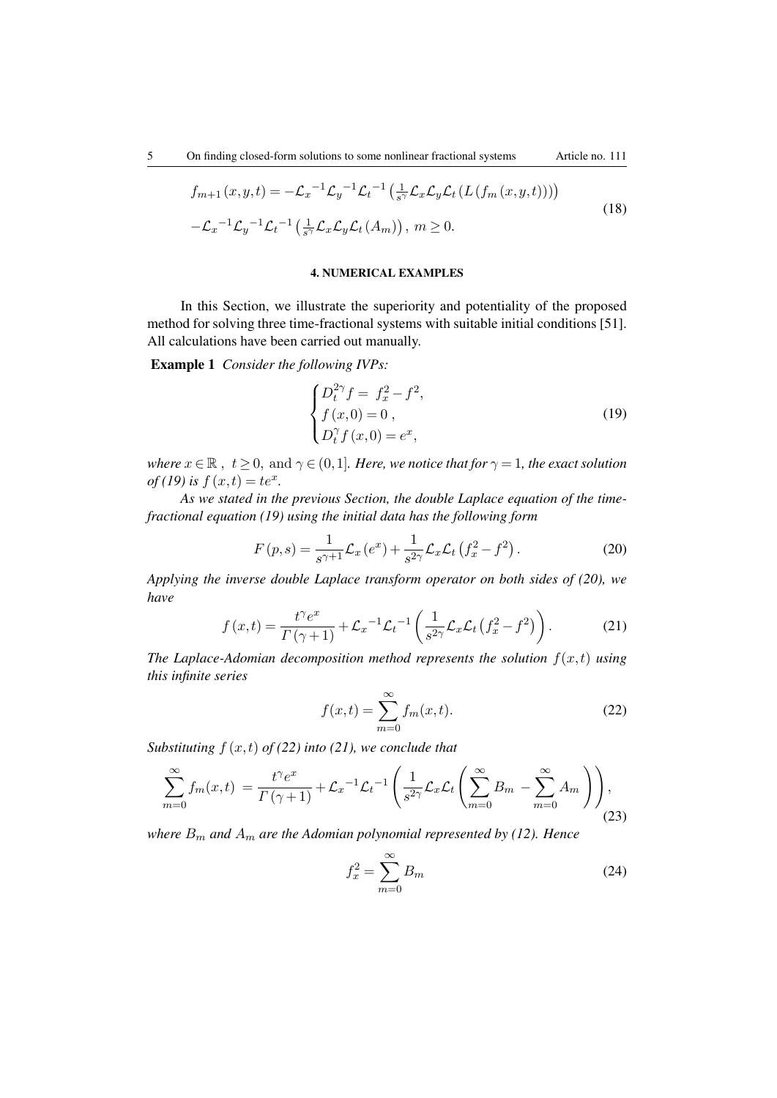$$
f_{m+1}(x,y,t) = -\mathcal{L}_x^{-1} \mathcal{L}_y^{-1} \mathcal{L}_t^{-1} \left( \frac{1}{s^{\gamma}} \mathcal{L}_x \mathcal{L}_y \mathcal{L}_t \left( L \left( f_m(x,y,t) \right) \right) \right)
$$
  

$$
-\mathcal{L}_x^{-1} \mathcal{L}_y^{-1} \mathcal{L}_t^{-1} \left( \frac{1}{s^{\gamma}} \mathcal{L}_x \mathcal{L}_y \mathcal{L}_t \left( A_m \right) \right), \ m \ge 0.
$$
 (18)

#### 4. NUMERICAL EXAMPLES

In this Section, we illustrate the superiority and potentiality of the proposed method for solving three time-fractional systems with suitable initial conditions [51]. All calculations have been carried out manually.

Example 1 *Consider the following IVPs:*

$$
\begin{cases}\nD_t^{2\gamma} f = f_x^2 - f^2, \\
f(x, 0) = 0, \\
D_t^{\gamma} f(x, 0) = e^x,\n\end{cases}
$$
\n(19)

*where*  $x \in \mathbb{R}$ ,  $t \geq 0$ , and  $\gamma \in (0,1]$ *. Here, we notice that for*  $\gamma = 1$ *, the exact solution of* (19) *is*  $f(x,t) = te^x$ .

*As we stated in the previous Section, the double Laplace equation of the timefractional equation (19) using the initial data has the following form*

$$
F(p,s) = \frac{1}{s^{\gamma+1}} \mathcal{L}_x(e^x) + \frac{1}{s^{2\gamma}} \mathcal{L}_x \mathcal{L}_t(f_x^2 - f^2).
$$
 (20)

*Applying the inverse double Laplace transform operator on both sides of (20), we have*

$$
f(x,t) = \frac{t^{\gamma}e^x}{\Gamma(\gamma+1)} + \mathcal{L}_x^{-1}\mathcal{L}_t^{-1}\left(\frac{1}{s^{2\gamma}}\mathcal{L}_x\mathcal{L}_t(f_x^2 - f^2)\right). \tag{21}
$$

*The Laplace-Adomian decomposition method represents the solution*  $f(x, t)$  *using this infinite series*

$$
f(x,t) = \sum_{m=0}^{\infty} f_m(x,t).
$$
 (22)

*Substituting*  $f(x,t)$  *of* (22) *into* (21), we conclude that

$$
\sum_{m=0}^{\infty} f_m(x,t) = \frac{t^{\gamma} e^x}{\Gamma(\gamma+1)} + \mathcal{L}_x^{-1} \mathcal{L}_t^{-1} \left( \frac{1}{s^{2\gamma}} \mathcal{L}_x \mathcal{L}_t \left( \sum_{m=0}^{\infty} B_m - \sum_{m=0}^{\infty} A_m \right) \right),\tag{23}
$$

*where*  $B_m$  *and*  $A_m$  *are the Adomian polynomial represented by (12). Hence* 

$$
f_x^2 = \sum_{m=0}^{\infty} B_m \tag{24}
$$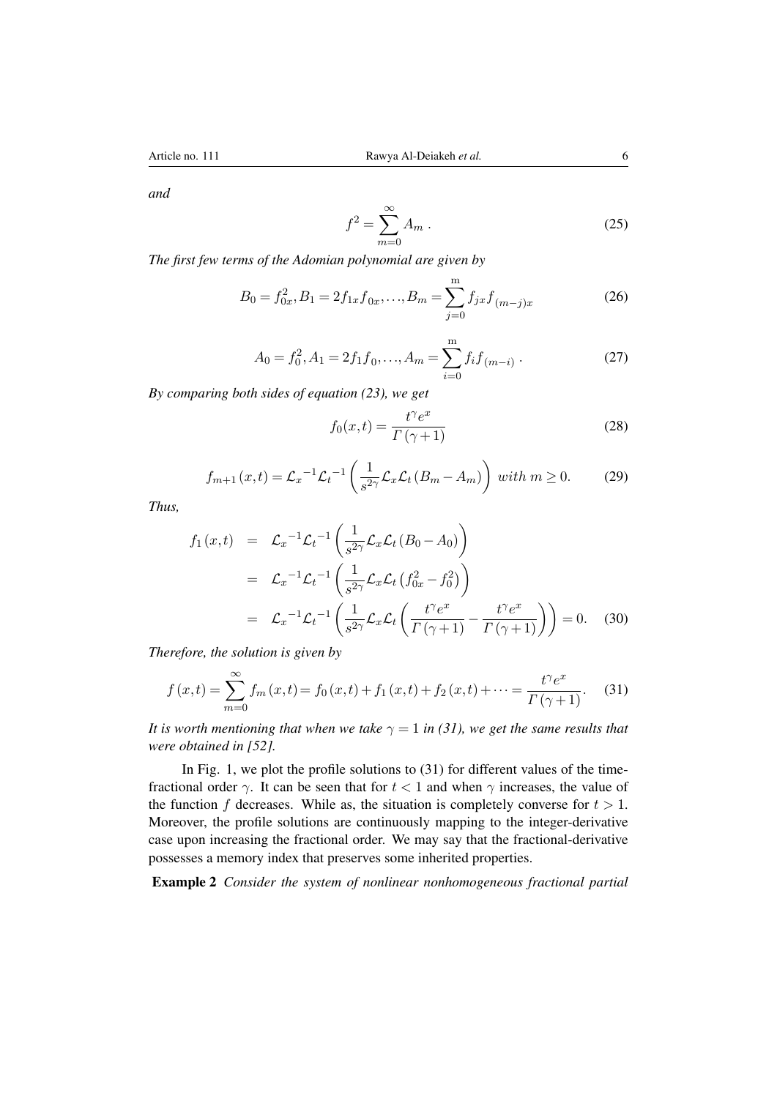*and*

$$
f^2 = \sum_{m=0}^{\infty} A_m . \tag{25}
$$

*The first few terms of the Adomian polynomial are given by*

$$
B_0 = f_{0x}^2, B_1 = 2f_{1x}f_{0x}, \dots, B_m = \sum_{j=0}^m f_{jx}f_{(m-j)x}
$$
 (26)

$$
A_0 = f_0^2, A_1 = 2f_1f_0, \dots, A_m = \sum_{i=0}^{m} f_i f_{(m-i)}.
$$
 (27)

*By comparing both sides of equation (23), we get*

$$
f_0(x,t) = \frac{t^{\gamma}e^x}{\Gamma(\gamma+1)}
$$
\n(28)

$$
f_{m+1}(x,t) = \mathcal{L}_x^{-1} \mathcal{L}_t^{-1} \left( \frac{1}{s^{2\gamma}} \mathcal{L}_x \mathcal{L}_t (B_m - A_m) \right) \text{ with } m \ge 0. \tag{29}
$$

*Thus,*

$$
f_1(x,t) = \mathcal{L}_x^{-1} \mathcal{L}_t^{-1} \left( \frac{1}{s^{2\gamma}} \mathcal{L}_x \mathcal{L}_t (B_0 - A_0) \right)
$$
  
\n
$$
= \mathcal{L}_x^{-1} \mathcal{L}_t^{-1} \left( \frac{1}{s^{2\gamma}} \mathcal{L}_x \mathcal{L}_t (f_{0x}^2 - f_0^2) \right)
$$
  
\n
$$
= \mathcal{L}_x^{-1} \mathcal{L}_t^{-1} \left( \frac{1}{s^{2\gamma}} \mathcal{L}_x \mathcal{L}_t \left( \frac{t^{\gamma} e^x}{\Gamma(\gamma + 1)} - \frac{t^{\gamma} e^x}{\Gamma(\gamma + 1)} \right) \right) = 0. \quad (30)
$$

*Therefore, the solution is given by*

$$
f(x,t) = \sum_{m=0}^{\infty} f_m(x,t) = f_0(x,t) + f_1(x,t) + f_2(x,t) + \dots = \frac{t^{\gamma} e^x}{\Gamma(\gamma+1)}.
$$
 (31)

*It is worth mentioning that when we take*  $\gamma = 1$  *in (31), we get the same results that were obtained in [\[52\]](#page-16-5).*

In Fig. 1, we plot the profile solutions to (31) for different values of the timefractional order  $\gamma$ . It can be seen that for  $t < 1$  and when  $\gamma$  increases, the value of the function f decreases. While as, the situation is completely converse for  $t > 1$ . Moreover, the profile solutions are continuously mapping to the integer-derivative case upon increasing the fractional order. We may say that the fractional-derivative possesses a memory index that preserves some inherited properties.

Example 2 *Consider the system of nonlinear nonhomogeneous fractional partial*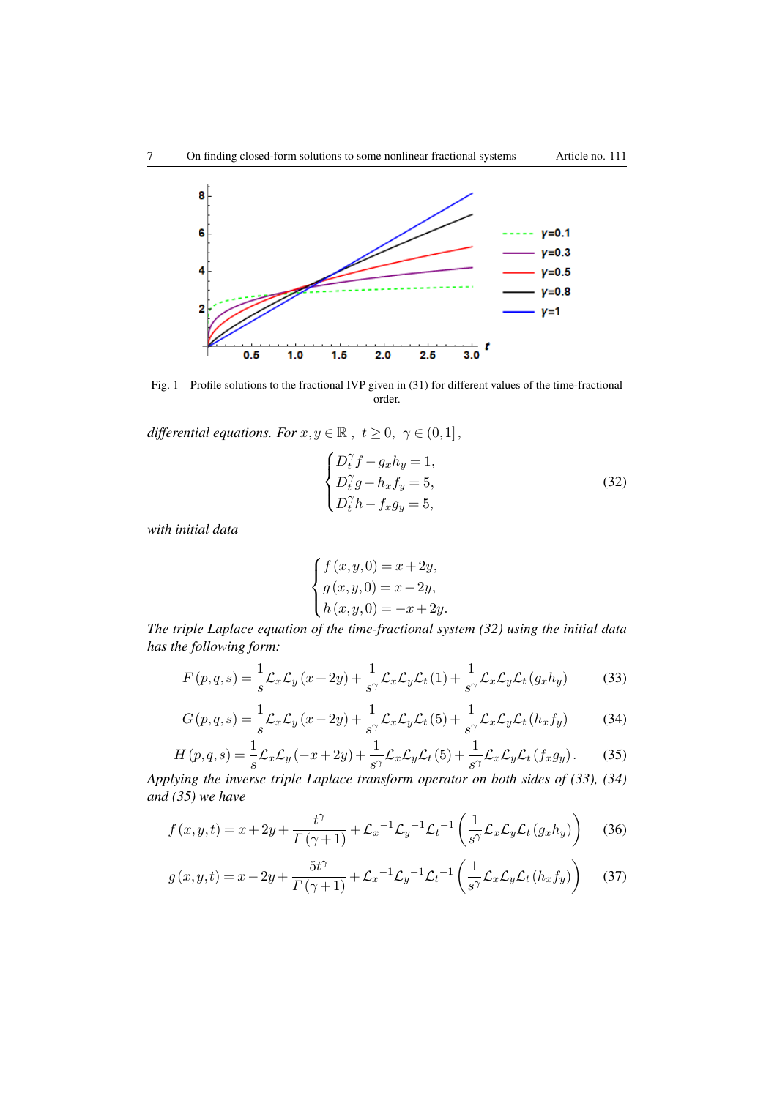

Fig. 1 – Profile solutions to the fractional IVP given in (31) for different values of the time-fractional order.

*differential equations. For*  $x, y \in \mathbb{R}$ ,  $t \ge 0$ ,  $\gamma \in (0,1]$ ,

$$
\begin{cases}\nD_t^{\gamma} f - g_x h_y = 1, \\
D_t^{\gamma} g - h_x f_y = 5, \\
D_t^{\gamma} h - f_x g_y = 5,\n\end{cases}
$$
\n(32)

*with initial data*

$$
\begin{cases} f(x, y, 0) = x + 2y, \\ g(x, y, 0) = x - 2y, \\ h(x, y, 0) = -x + 2y. \end{cases}
$$

*The triple Laplace equation of the time-fractional system (32) using the initial data has the following form:*

$$
F(p,q,s) = \frac{1}{s}\mathcal{L}_x\mathcal{L}_y(x+2y) + \frac{1}{s^{\gamma}}\mathcal{L}_x\mathcal{L}_y\mathcal{L}_t(1) + \frac{1}{s^{\gamma}}\mathcal{L}_x\mathcal{L}_y\mathcal{L}_t(g_xh_y)
$$
(33)

$$
G(p,q,s) = \frac{1}{s} \mathcal{L}_x \mathcal{L}_y \left( x - 2y \right) + \frac{1}{s^{\gamma}} \mathcal{L}_x \mathcal{L}_y \mathcal{L}_t \left( 5 \right) + \frac{1}{s^{\gamma}} \mathcal{L}_x \mathcal{L}_y \mathcal{L}_t \left( h_x f_y \right) \tag{34}
$$

$$
H(p,q,s) = \frac{1}{s}\mathcal{L}_x\mathcal{L}_y(-x+2y) + \frac{1}{s^{\gamma}}\mathcal{L}_x\mathcal{L}_y\mathcal{L}_t(5) + \frac{1}{s^{\gamma}}\mathcal{L}_x\mathcal{L}_y\mathcal{L}_t(f_xg_y).
$$
 (35)

*Applying the inverse triple Laplace transform operator on both sides of (33), (34) and (35) we have*

$$
f(x,y,t) = x + 2y + \frac{t^{\gamma}}{\Gamma(\gamma+1)} + \mathcal{L}_x^{-1}\mathcal{L}_y^{-1}\mathcal{L}_t^{-1}\left(\frac{1}{s^{\gamma}}\mathcal{L}_x\mathcal{L}_y\mathcal{L}_t(g_xh_y)\right) \tag{36}
$$

$$
g(x,y,t) = x - 2y + \frac{5t^{\gamma}}{\Gamma(\gamma+1)} + \mathcal{L}_x^{-1} \mathcal{L}_y^{-1} \mathcal{L}_t^{-1} \left(\frac{1}{s^{\gamma}} \mathcal{L}_x \mathcal{L}_y \mathcal{L}_t (h_x f_y)\right)
$$
(37)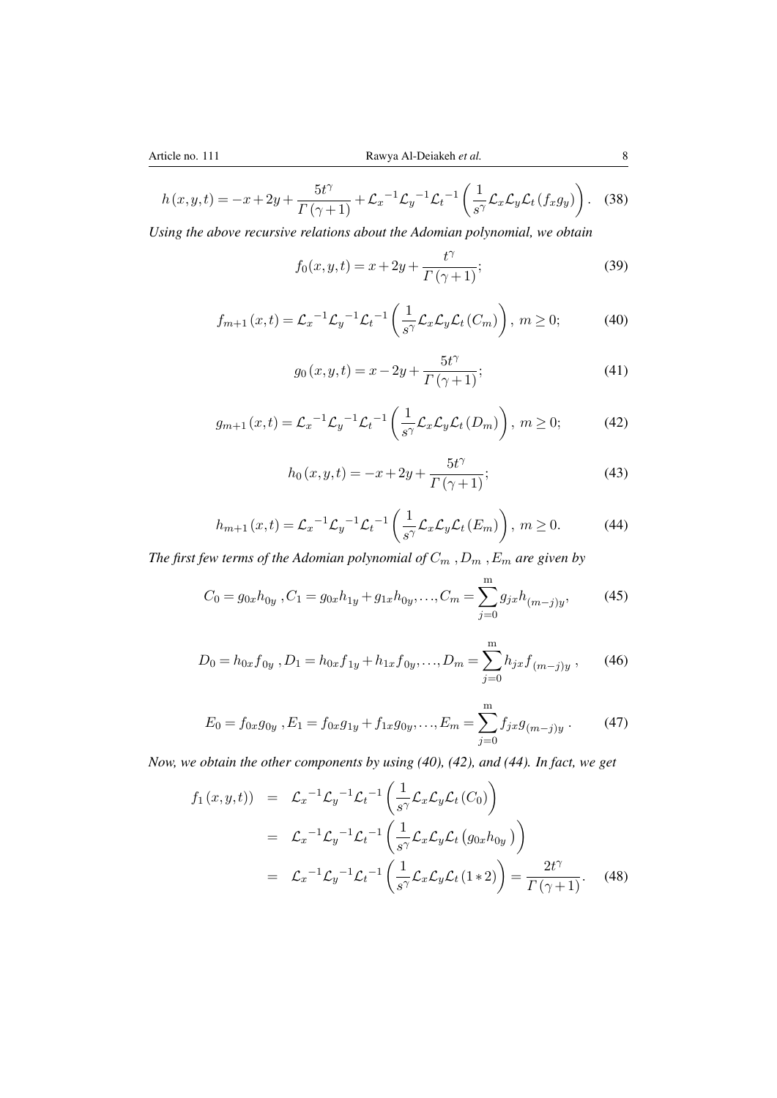$$
h(x,y,t) = -x + 2y + \frac{5t^{\gamma}}{\Gamma(\gamma+1)} + \mathcal{L}_x^{-1}\mathcal{L}_y^{-1}\mathcal{L}_t^{-1}\left(\frac{1}{s^{\gamma}}\mathcal{L}_x\mathcal{L}_y\mathcal{L}_t(f_xg_y)\right). \tag{38}
$$

*Using the above recursive relations about the Adomian polynomial, we obtain*

$$
f_0(x, y, t) = x + 2y + \frac{t^{\gamma}}{\Gamma(\gamma + 1)};
$$
\n(39)

$$
f_{m+1}(x,t) = \mathcal{L}_x^{-1} \mathcal{L}_y^{-1} \mathcal{L}_t^{-1} \left( \frac{1}{s^{\gamma}} \mathcal{L}_x \mathcal{L}_y \mathcal{L}_t (C_m) \right), \ m \ge 0; \tag{40}
$$

$$
g_0(x, y, t) = x - 2y + \frac{5t^{\gamma}}{\Gamma(\gamma + 1)};
$$
\n(41)

$$
g_{m+1}(x,t) = \mathcal{L}_x^{-1} \mathcal{L}_y^{-1} \mathcal{L}_t^{-1} \left( \frac{1}{s^{\gamma}} \mathcal{L}_x \mathcal{L}_y \mathcal{L}_t (D_m) \right), \ m \ge 0; \tag{42}
$$

$$
h_0(x, y, t) = -x + 2y + \frac{5t^{\gamma}}{\Gamma(\gamma + 1)};
$$
\n(43)

$$
h_{m+1}(x,t) = \mathcal{L}_x^{-1} \mathcal{L}_y^{-1} \mathcal{L}_t^{-1} \left( \frac{1}{s^{\gamma}} \mathcal{L}_x \mathcal{L}_y \mathcal{L}_t(E_m) \right), \ m \ge 0. \tag{44}
$$

*The first few terms of the Adomian polynomial of*  $C_m$  ,  $D_m$  ,  $E_m$  *are given by* 

$$
C_0 = g_{0x}h_{0y}, C_1 = g_{0x}h_{1y} + g_{1x}h_{0y}, \dots, C_m = \sum_{j=0}^{m} g_{jx}h_{(m-j)y},
$$
 (45)

$$
D_0 = h_{0x} f_{0y}, D_1 = h_{0x} f_{1y} + h_{1x} f_{0y},..., D_m = \sum_{j=0}^{m} h_{jx} f_{(m-j)y},
$$
 (46)

$$
E_0 = f_{0x}g_{0y}, E_1 = f_{0x}g_{1y} + f_{1x}g_{0y},..., E_m = \sum_{j=0}^{m} f_{jx}g_{(m-j)y}.
$$
 (47)

*Now, we obtain the other components by using (40), (42), and (44). In fact, we get*

$$
f_1(x, y, t) = \mathcal{L}_x^{-1} \mathcal{L}_y^{-1} \mathcal{L}_t^{-1} \left( \frac{1}{s^{\gamma}} \mathcal{L}_x \mathcal{L}_y \mathcal{L}_t (C_0) \right)
$$
  
\n
$$
= \mathcal{L}_x^{-1} \mathcal{L}_y^{-1} \mathcal{L}_t^{-1} \left( \frac{1}{s^{\gamma}} \mathcal{L}_x \mathcal{L}_y \mathcal{L}_t (g_{0x} h_{0y}) \right)
$$
  
\n
$$
= \mathcal{L}_x^{-1} \mathcal{L}_y^{-1} \mathcal{L}_t^{-1} \left( \frac{1}{s^{\gamma}} \mathcal{L}_x \mathcal{L}_y \mathcal{L}_t (1 * 2) \right) = \frac{2t^{\gamma}}{\Gamma(\gamma + 1)}.
$$
 (48)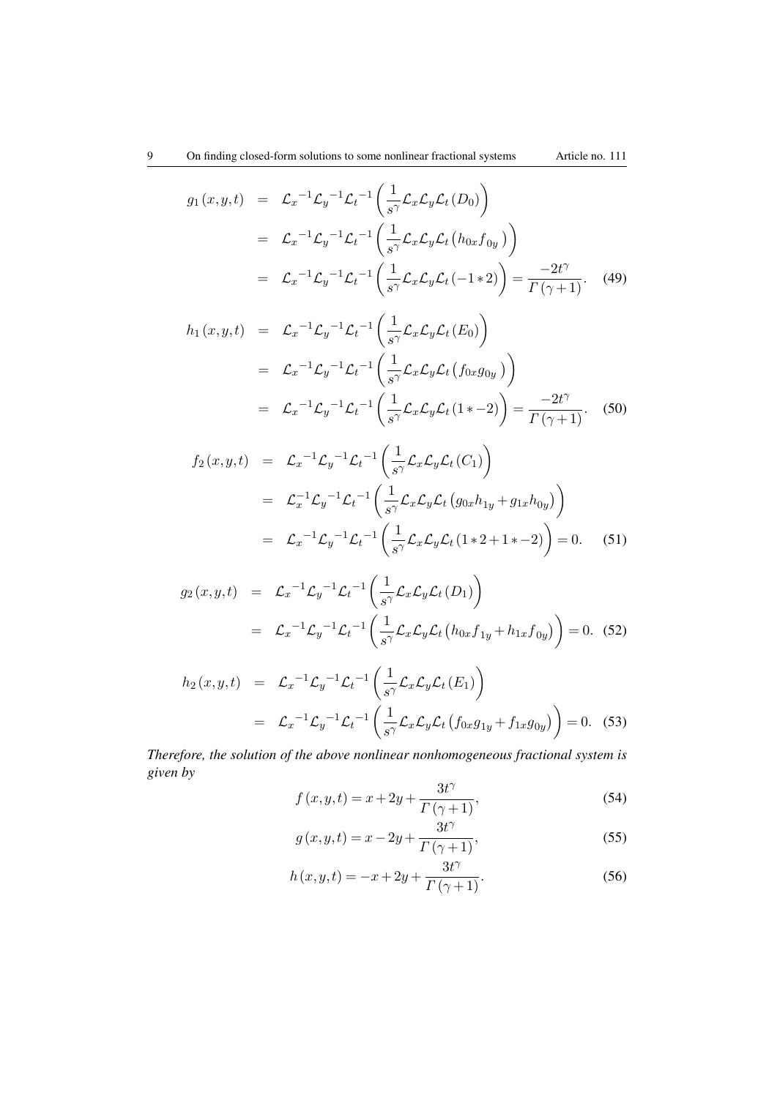$$
g_1(x, y, t) = \mathcal{L}_x^{-1} \mathcal{L}_y^{-1} \mathcal{L}_t^{-1} \left( \frac{1}{s^{\gamma}} \mathcal{L}_x \mathcal{L}_y \mathcal{L}_t (D_0) \right)
$$
  
\n
$$
= \mathcal{L}_x^{-1} \mathcal{L}_y^{-1} \mathcal{L}_t^{-1} \left( \frac{1}{s^{\gamma}} \mathcal{L}_x \mathcal{L}_y \mathcal{L}_t (h_{0x} f_{0y}) \right)
$$
  
\n
$$
= \mathcal{L}_x^{-1} \mathcal{L}_y^{-1} \mathcal{L}_t^{-1} \left( \frac{1}{s^{\gamma}} \mathcal{L}_x \mathcal{L}_y \mathcal{L}_t (-1 * 2) \right) = \frac{-2t^{\gamma}}{\Gamma(\gamma + 1)}.
$$
 (49)

$$
h_1(x, y, t) = \mathcal{L}_x^{-1} \mathcal{L}_y^{-1} \mathcal{L}_t^{-1} \left( \frac{1}{s^{\gamma}} \mathcal{L}_x \mathcal{L}_y \mathcal{L}_t (E_0) \right)
$$
  
\n
$$
= \mathcal{L}_x^{-1} \mathcal{L}_y^{-1} \mathcal{L}_t^{-1} \left( \frac{1}{s^{\gamma}} \mathcal{L}_x \mathcal{L}_y \mathcal{L}_t (f_{0x} g_{0y}) \right)
$$
  
\n
$$
= \mathcal{L}_x^{-1} \mathcal{L}_y^{-1} \mathcal{L}_t^{-1} \left( \frac{1}{s^{\gamma}} \mathcal{L}_x \mathcal{L}_y \mathcal{L}_t (1 * -2) \right) = \frac{-2t^{\gamma}}{\Gamma(\gamma + 1)}. (50)
$$

$$
f_2(x, y, t) = \mathcal{L}_x^{-1} \mathcal{L}_y^{-1} \mathcal{L}_t^{-1} \left( \frac{1}{s^{\gamma}} \mathcal{L}_x \mathcal{L}_y \mathcal{L}_t (C_1) \right)
$$
  
\n
$$
= \mathcal{L}_x^{-1} \mathcal{L}_y^{-1} \mathcal{L}_t^{-1} \left( \frac{1}{s^{\gamma}} \mathcal{L}_x \mathcal{L}_y \mathcal{L}_t (g_{0x} h_{1y} + g_{1x} h_{0y}) \right)
$$
  
\n
$$
= \mathcal{L}_x^{-1} \mathcal{L}_y^{-1} \mathcal{L}_t^{-1} \left( \frac{1}{s^{\gamma}} \mathcal{L}_x \mathcal{L}_y \mathcal{L}_t (1 * 2 + 1 * - 2) \right) = 0. \quad (51)
$$

$$
g_2(x, y, t) = \mathcal{L}_x^{-1} \mathcal{L}_y^{-1} \mathcal{L}_t^{-1} \left( \frac{1}{s^{\gamma}} \mathcal{L}_x \mathcal{L}_y \mathcal{L}_t (D_1) \right)
$$
  
=  $\mathcal{L}_x^{-1} \mathcal{L}_y^{-1} \mathcal{L}_t^{-1} \left( \frac{1}{s^{\gamma}} \mathcal{L}_x \mathcal{L}_y \mathcal{L}_t \left( h_{0x} f_{1y} + h_{1x} f_{0y} \right) \right) = 0.$  (52)

$$
h_2(x, y, t) = \mathcal{L}_x^{-1} \mathcal{L}_y^{-1} \mathcal{L}_t^{-1} \left( \frac{1}{s^{\gamma}} \mathcal{L}_x \mathcal{L}_y \mathcal{L}_t (E_1) \right)
$$
  
=  $\mathcal{L}_x^{-1} \mathcal{L}_y^{-1} \mathcal{L}_t^{-1} \left( \frac{1}{s^{\gamma}} \mathcal{L}_x \mathcal{L}_y \mathcal{L}_t (f_{0x} g_{1y} + f_{1x} g_{0y}) \right) = 0.$  (53)

*Therefore, the solution of the above nonlinear nonhomogeneous fractional system is given by*

$$
f(x, y, t) = x + 2y + \frac{3t^{\gamma}}{\Gamma(\gamma + 1)},
$$
\n(54)

$$
g(x, y, t) = x - 2y + \frac{3t^{\gamma}}{\Gamma(\gamma + 1)},
$$
\n(55)

$$
h(x, y, t) = -x + 2y + \frac{3t^{\gamma}}{\Gamma(\gamma + 1)}.
$$
 (56)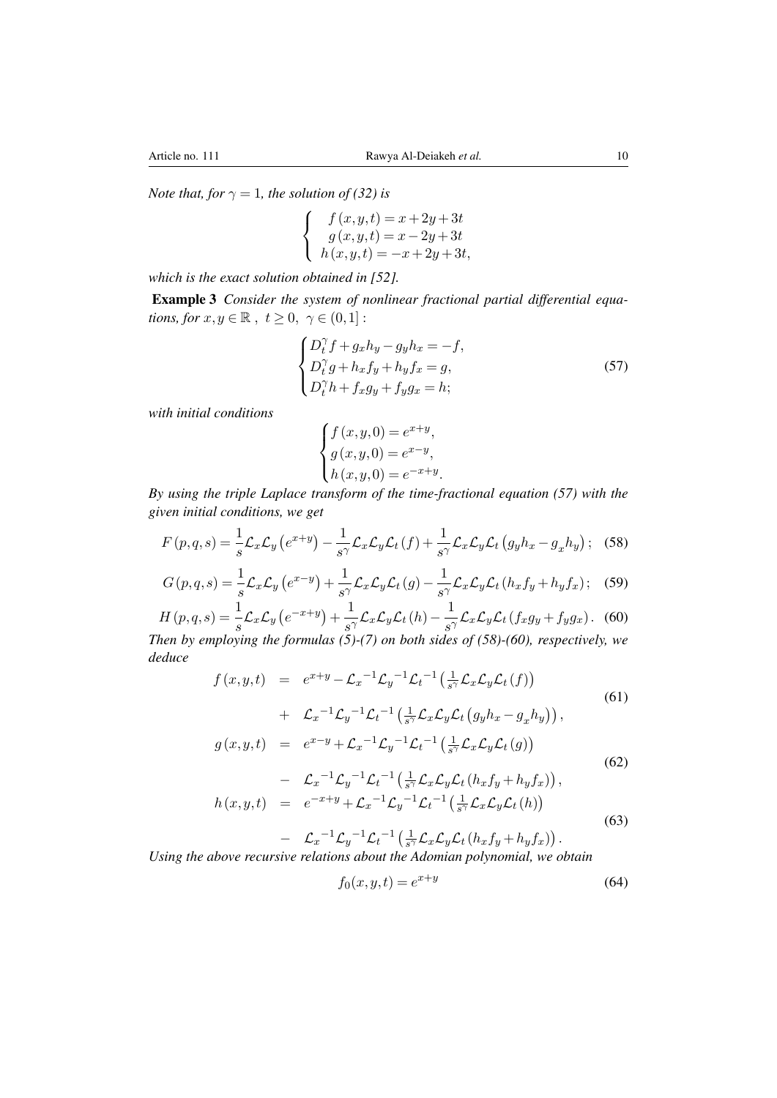*Note that, for*  $\gamma = 1$ *, the solution of* (32) *is* 

$$
\begin{cases}\n f(x,y,t) = x + 2y + 3t \\
 g(x,y,t) = x - 2y + 3t \\
 h(x,y,t) = -x + 2y + 3t,\n\end{cases}
$$

*which is the exact solution obtained in [\[52\]](#page-16-5).*

Example 3 *Consider the system of nonlinear fractional partial differential equations, for*  $x, y \in \mathbb{R}$ ,  $t \geq 0$ ,  $\gamma \in (0,1]$ :

$$
\begin{cases}\nD_t^{\gamma} f + g_x h_y - g_y h_x = -f, \\
D_t^{\gamma} g + h_x f_y + h_y f_x = g, \\
D_t^{\gamma} h + f_x g_y + f_y g_x = h;\n\end{cases}
$$
\n(57)

*with initial conditions*

$$
\begin{cases} f(x, y, 0) = e^{x+y}, \\ g(x, y, 0) = e^{x-y}, \\ h(x, y, 0) = e^{-x+y}. \end{cases}
$$

*By using the triple Laplace transform of the time-fractional equation (57) with the given initial conditions, we get*

$$
F(p,q,s) = \frac{1}{s} \mathcal{L}_x \mathcal{L}_y \left( e^{x+y} \right) - \frac{1}{s^{\gamma}} \mathcal{L}_x \mathcal{L}_y \mathcal{L}_t \left( f \right) + \frac{1}{s^{\gamma}} \mathcal{L}_x \mathcal{L}_y \mathcal{L}_t \left( g_y h_x - g_x h_y \right); \tag{58}
$$

$$
G(p,q,s) = \frac{1}{s} \mathcal{L}_x \mathcal{L}_y \left( e^{x-y} \right) + \frac{1}{s^{\gamma}} \mathcal{L}_x \mathcal{L}_y \mathcal{L}_t \left( g \right) - \frac{1}{s^{\gamma}} \mathcal{L}_x \mathcal{L}_y \mathcal{L}_t \left( h_x f_y + h_y f_x \right); \tag{59}
$$

$$
H(p,q,s) = \frac{1}{s} \mathcal{L}_x \mathcal{L}_y \left( e^{-x+y} \right) + \frac{1}{s^{\gamma}} \mathcal{L}_x \mathcal{L}_y \mathcal{L}_t(h) - \frac{1}{s^{\gamma}} \mathcal{L}_x \mathcal{L}_y \mathcal{L}_t(f_x g_y + f_y g_x). \tag{60}
$$
  
Then by employing the formulas (5)-(7) on both sides of (58)-(60). respectively, we

*Then by employing the formulas (5)-(7) on both sides of (58)-(60), respectively, we deduce*

$$
f(x,y,t) = e^{x+y} - \mathcal{L}_x^{-1} \mathcal{L}_y^{-1} \mathcal{L}_t^{-1} \left( \frac{1}{s^{\gamma}} \mathcal{L}_x \mathcal{L}_y \mathcal{L}_t(f) \right)
$$
  
+ 
$$
\mathcal{L}_x^{-1} \mathcal{L}_y^{-1} \mathcal{L}_t^{-1} \left( \frac{1}{s^{\gamma}} \mathcal{L}_x \mathcal{L}_y \mathcal{L}_t \left( g_y h_x - g_x h_y \right) \right),
$$
 (61)

$$
g(x,y,t) = e^{x-y} + \mathcal{L}_x^{-1} \mathcal{L}_y^{-1} \mathcal{L}_t^{-1} \left( \frac{1}{s^{\gamma}} \mathcal{L}_x \mathcal{L}_y \mathcal{L}_t(g) \right)
$$
  
- 
$$
\mathcal{L}_x^{-1} \mathcal{L}_y^{-1} \mathcal{L}_t^{-1} \left( \frac{1}{s^{\gamma}} \mathcal{L}_x \mathcal{L}_y \mathcal{L}_t(h_x f_y + h_y f_x) \right),
$$
 (62)

$$
h(x, y, t) = e^{-x+y} + \mathcal{L}_x^{-1} \mathcal{L}_y^{-1} \mathcal{L}_t^{-1} \left( \frac{1}{s^{\gamma}} \mathcal{L}_x \mathcal{L}_y \mathcal{L}_t(h) \right)
$$
(63)

$$
- \mathcal{L}_x^{-1} \mathcal{L}_y^{-1} \mathcal{L}_t^{-1} \left( \frac{1}{s^{\gamma}} \mathcal{L}_x \mathcal{L}_y \mathcal{L}_t \left( h_x f_y + h_y f_x \right) \right).
$$

*Using the above recursive relations about the Adomian polynomial, we obtain*

$$
f_0(x, y, t) = e^{x+y}
$$
 (64)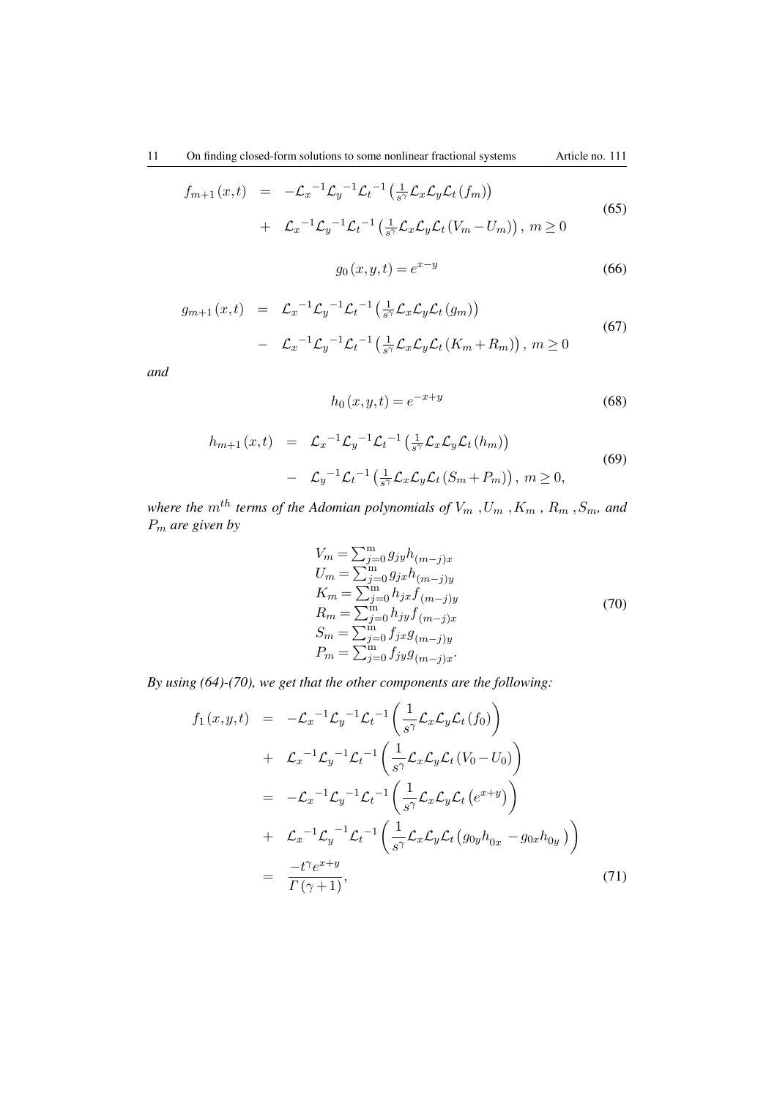$$
f_{m+1}(x,t) = -\mathcal{L}_x^{-1} \mathcal{L}_y^{-1} \mathcal{L}_t^{-1} \left( \frac{1}{s^{\gamma}} \mathcal{L}_x \mathcal{L}_y \mathcal{L}_t(f_m) \right)
$$
  
+ 
$$
\mathcal{L}_x^{-1} \mathcal{L}_y^{-1} \mathcal{L}_t^{-1} \left( \frac{1}{s^{\gamma}} \mathcal{L}_x \mathcal{L}_y \mathcal{L}_t(V_m - U_m) \right), m \ge 0
$$
 (65)

$$
g_0(x, y, t) = e^{x - y}
$$
 (66)

$$
g_{m+1}(x,t) = \mathcal{L}_x^{-1} \mathcal{L}_y^{-1} \mathcal{L}_t^{-1} \left( \frac{1}{s^{\gamma}} \mathcal{L}_x \mathcal{L}_y \mathcal{L}_t(g_m) \right)
$$
  
- 
$$
\mathcal{L}_x^{-1} \mathcal{L}_y^{-1} \mathcal{L}_t^{-1} \left( \frac{1}{s^{\gamma}} \mathcal{L}_x \mathcal{L}_y \mathcal{L}_t(K_m + R_m) \right), m \ge 0
$$
 (67)

*and*

$$
h_0(x, y, t) = e^{-x+y} \tag{68}
$$

$$
h_{m+1}(x,t) = \mathcal{L}_x^{-1} \mathcal{L}_y^{-1} \mathcal{L}_t^{-1} \left( \frac{1}{s^{\gamma}} \mathcal{L}_x \mathcal{L}_y \mathcal{L}_t (h_m) \right)
$$
  

$$
- \mathcal{L}_y^{-1} \mathcal{L}_t^{-1} \left( \frac{1}{s^{\gamma}} \mathcal{L}_x \mathcal{L}_y \mathcal{L}_t (S_m + P_m) \right), \ m \ge 0,
$$
 (69)

*where the*  $m^{th}$  *terms of the Adomian polynomials of*  $V_m$  ,  $U_m$  ,  $K_m$  ,  $R_m$  ,  $S_m$ , and P<sup>m</sup> *are given by*

$$
V_m = \sum_{j=0}^{m} g_{jy} h_{(m-j)x}
$$
  
\n
$$
U_m = \sum_{j=0}^{m} g_{jx} h_{(m-j)y}
$$
  
\n
$$
K_m = \sum_{j=0}^{m} h_{jx} f_{(m-j)y}
$$
  
\n
$$
R_m = \sum_{j=0}^{m} h_{jy} f_{(m-j)x}
$$
  
\n
$$
S_m = \sum_{j=0}^{m} f_{jx} g_{(m-j)y}
$$
  
\n
$$
P_m = \sum_{j=0}^{m} f_{jy} g_{(m-j)x}.
$$
\n(70)

*By using (64)-(70), we get that the other components are the following:*

$$
f_1(x, y, t) = -\mathcal{L}_x^{-1} \mathcal{L}_y^{-1} \mathcal{L}_t^{-1} \left( \frac{1}{s^{\gamma}} \mathcal{L}_x \mathcal{L}_y \mathcal{L}_t(f_0) \right)
$$
  
+  $\mathcal{L}_x^{-1} \mathcal{L}_y^{-1} \mathcal{L}_t^{-1} \left( \frac{1}{s^{\gamma}} \mathcal{L}_x \mathcal{L}_y \mathcal{L}_t(V_0 - U_0) \right)$   
=  $-\mathcal{L}_x^{-1} \mathcal{L}_y^{-1} \mathcal{L}_t^{-1} \left( \frac{1}{s^{\gamma}} \mathcal{L}_x \mathcal{L}_y \mathcal{L}_t(e^{x+y}) \right)$   
+  $\mathcal{L}_x^{-1} \mathcal{L}_y^{-1} \mathcal{L}_t^{-1} \left( \frac{1}{s^{\gamma}} \mathcal{L}_x \mathcal{L}_y \mathcal{L}_t(g_{0y} h_{0x} - g_{0x} h_{0y}) \right)$   
=  $\frac{-t^{\gamma} e^{x+y}}{\Gamma(\gamma + 1)},$  (71)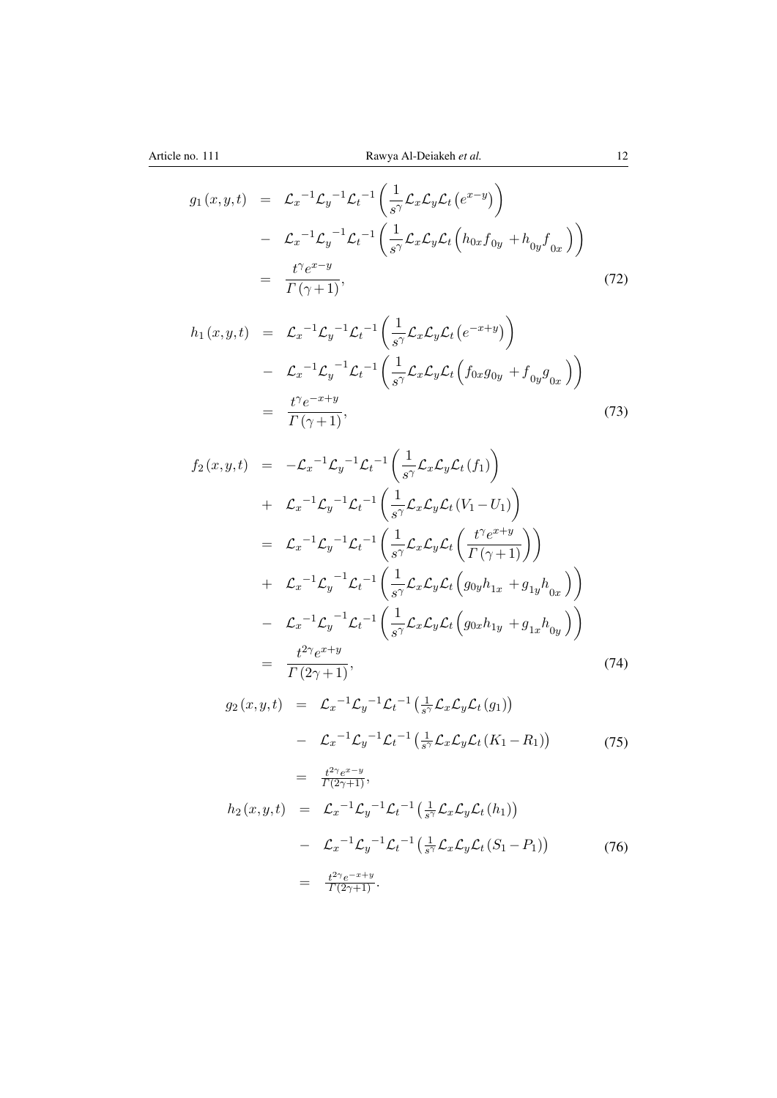$$
g_1(x,y,t) = \mathcal{L}_x^{-1} \mathcal{L}_y^{-1} \mathcal{L}_t^{-1} \left( \frac{1}{s^{\gamma}} \mathcal{L}_x \mathcal{L}_y \mathcal{L}_t \left( e^{x-y} \right) \right)
$$
  

$$
- \mathcal{L}_x^{-1} \mathcal{L}_y^{-1} \mathcal{L}_t^{-1} \left( \frac{1}{s^{\gamma}} \mathcal{L}_x \mathcal{L}_y \mathcal{L}_t \left( h_{0x} f_{0y} + h_{0y} f_{0x} \right) \right)
$$
  

$$
= \frac{t^{\gamma} e^{x-y}}{\Gamma(\gamma+1)}, \tag{72}
$$

$$
h_1(x, y, t) = \mathcal{L}_x^{-1} \mathcal{L}_y^{-1} \mathcal{L}_t^{-1} \left( \frac{1}{s^{\gamma}} \mathcal{L}_x \mathcal{L}_y \mathcal{L}_t \left( e^{-x+y} \right) \right)
$$
  

$$
- \mathcal{L}_x^{-1} \mathcal{L}_y^{-1} \mathcal{L}_t^{-1} \left( \frac{1}{s^{\gamma}} \mathcal{L}_x \mathcal{L}_y \mathcal{L}_t \left( f_{0x} g_{0y} + f_{0y} g_{0x} \right) \right)
$$
  

$$
= \frac{t^{\gamma} e^{-x+y}}{\Gamma(\gamma+1)}, \qquad (73)
$$

$$
f_2(x, y, t) = -\mathcal{L}_x^{-1} \mathcal{L}_y^{-1} \mathcal{L}_t^{-1} \left( \frac{1}{s^{\gamma}} \mathcal{L}_x \mathcal{L}_y \mathcal{L}_t(f_1) \right)
$$
  
+  $\mathcal{L}_x^{-1} \mathcal{L}_y^{-1} \mathcal{L}_t^{-1} \left( \frac{1}{s^{\gamma}} \mathcal{L}_x \mathcal{L}_y \mathcal{L}_t (V_1 - U_1) \right)$   
=  $\mathcal{L}_x^{-1} \mathcal{L}_y^{-1} \mathcal{L}_t^{-1} \left( \frac{1}{s^{\gamma}} \mathcal{L}_x \mathcal{L}_y \mathcal{L}_t \left( \frac{t^{\gamma} e^{x+y}}{\Gamma(\gamma+1)} \right) \right)$   
+  $\mathcal{L}_x^{-1} \mathcal{L}_y^{-1} \mathcal{L}_t^{-1} \left( \frac{1}{s^{\gamma}} \mathcal{L}_x \mathcal{L}_y \mathcal{L}_t \left( g_{0y} h_{1x} + g_{1y} h_{0x} \right) \right)$   
-  $\mathcal{L}_x^{-1} \mathcal{L}_y^{-1} \mathcal{L}_t^{-1} \left( \frac{1}{s^{\gamma}} \mathcal{L}_x \mathcal{L}_y \mathcal{L}_t \left( g_{0x} h_{1y} + g_{1x} h_{0y} \right) \right)$   
=  $\frac{t^{2\gamma} e^{x+y}}{\Gamma(2\gamma+1)},$  (74)

 $g_2(x,y,t) = \mathcal{L}_x^{-1} \mathcal{L}_y^{-1} \mathcal{L}_t^{-1} \left( \frac{1}{s^2} \right)$  $\frac{1}{s^{\gamma}}\mathcal{L}_{x}\mathcal{L}_{y}\mathcal{L}_{t}\left(g_{1}\right) \big)$  $-\mathcal{L}_x^{-1} \mathcal{L}_y^{-1} \mathcal{L}_t^{-1} \left( \frac{1}{s^2} \right)$  $\frac{1}{s^{\gamma}}\mathcal{L}_x\mathcal{L}_y\mathcal{L}_t(K_1-R_1)$  $=$   $\frac{t^{2\gamma}e^{x-y}}{\Gamma(2\gamma+1)}$ , (75)  $h_2(x,y,t) = \mathcal{L}_x^{-1} \mathcal{L}_y^{-1} \mathcal{L}_t^{-1} \left( \frac{1}{s^2} \right)$  $\frac{1}{s^{\gamma}}\mathcal{L}_{x}\mathcal{L}_{y}\mathcal{L}_{t}\left(h_{1}\right)$  $-\mathcal{L}_x^{-1} \mathcal{L}_y^{-1} \mathcal{L}_t^{-1} \left( \frac{1}{s^2} \right)$  $\frac{1}{s^{\gamma}}\mathcal{L}_x\mathcal{L}_y\mathcal{L}_t(S_1-P_1)\big)$  $=$   $\frac{t^{2\gamma}e^{-x+y}}{\Gamma(2\gamma+1)}$ . (76)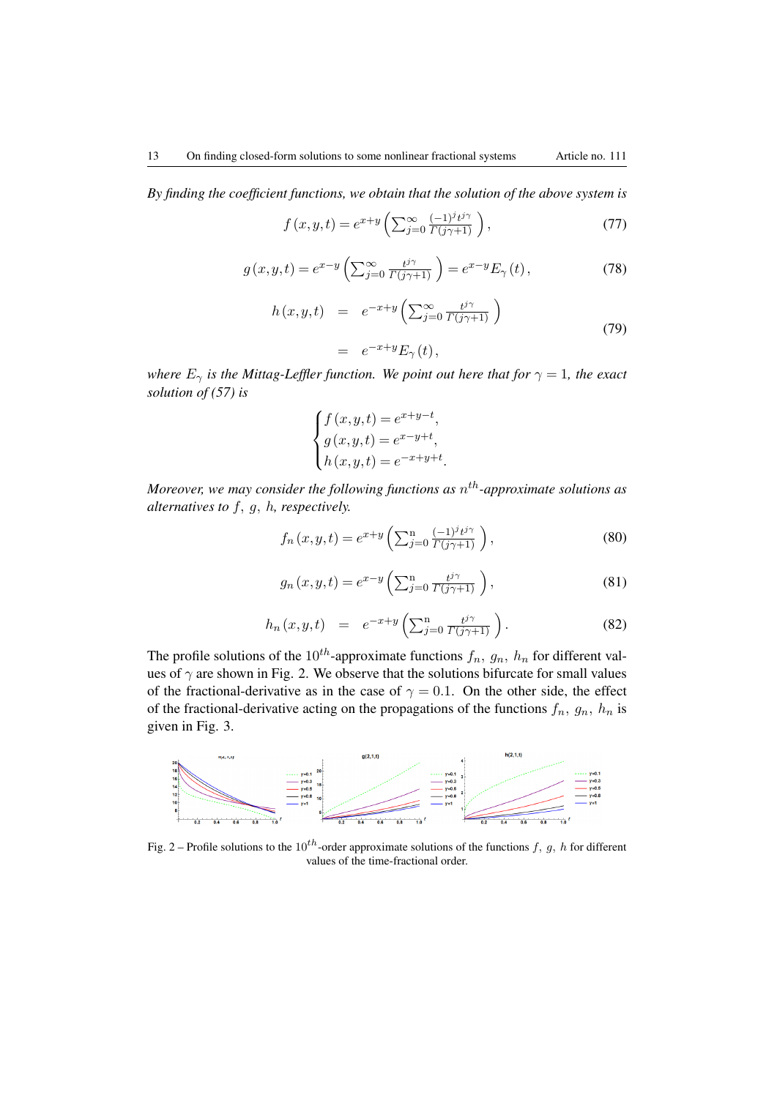*By finding the coefficient functions, we obtain that the solution of the above system is*

$$
f(x,y,t) = e^{x+y} \left( \sum_{j=0}^{\infty} \frac{(-1)^j t^{j\gamma}}{\Gamma(j\gamma+1)} \right),\tag{77}
$$

$$
g(x, y, t) = e^{x-y} \left( \sum_{j=0}^{\infty} \frac{t^{j\gamma}}{\Gamma(j\gamma+1)} \right) = e^{x-y} E_{\gamma}(t), \qquad (78)
$$

$$
h(x, y, t) = e^{-x+y} \left( \sum_{j=0}^{\infty} \frac{t^{j\gamma}}{\Gamma(j\gamma+1)} \right)
$$
  
= 
$$
e^{-x+y} E_{\gamma}(t),
$$
 (79)

*where*  $E_{\gamma}$  *is the Mittag-Leffler function. We point out here that for*  $\gamma = 1$ *, the exact solution of (57) is*

$$
\begin{cases}\nf(x,y,t) = e^{x+y-t}, \\
g(x,y,t) = e^{x-y+t}, \\
h(x,y,t) = e^{-x+y+t}.\n\end{cases}
$$

*Moreover, we may consider the following functions as* n th*-approximate solutions as alternatives to* f, g, h*, respectively.*

$$
f_n(x, y, t) = e^{x+y} \left( \sum_{j=0}^n \frac{(-1)^j t^{j\gamma}}{\Gamma(j\gamma+1)} \right),\tag{80}
$$

$$
g_n(x, y, t) = e^{x-y} \left( \sum_{j=0}^n \frac{t^{j\gamma}}{\Gamma(j\gamma+1)} \right),\tag{81}
$$

$$
h_n(x, y, t) = e^{-x+y} \left( \sum_{j=0}^n \frac{t^{j\gamma}}{\Gamma(j\gamma+1)} \right).
$$
 (82)

The profile solutions of the 10<sup>th</sup>-approximate functions  $f_n$ ,  $g_n$ ,  $h_n$  for different values of  $\gamma$  are shown in Fig. 2. We observe that the solutions bifurcate for small values of the fractional-derivative as in the case of  $\gamma = 0.1$ . On the other side, the effect of the fractional-derivative acting on the propagations of the functions  $f_n$ ,  $g_n$ ,  $h_n$  is given in Fig. 3.



Fig. 2 – Profile solutions to the 10<sup>th</sup>-order approximate solutions of the functions f, g, h for different values of the time-fractional order.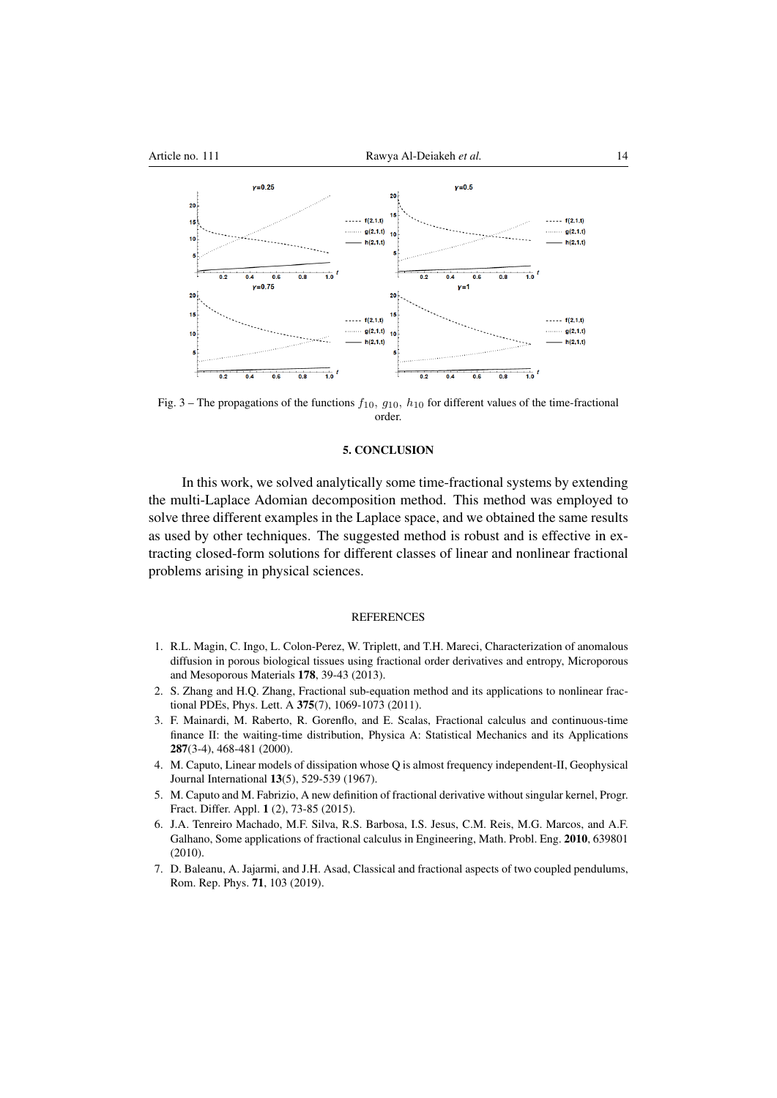

Fig. 3 – The propagations of the functions  $f_{10}$ ,  $g_{10}$ ,  $h_{10}$  for different values of the time-fractional order.

### 5. CONCLUSION

In this work, we solved analytically some time-fractional systems by extending the multi-Laplace Adomian decomposition method. This method was employed to solve three different examples in the Laplace space, and we obtained the same results as used by other techniques. The suggested method is robust and is effective in extracting closed-form solutions for different classes of linear and nonlinear fractional problems arising in physical sciences.

#### **REFERENCES**

- <span id="page-13-0"></span>1. R.L. Magin, C. Ingo, L. Colon-Perez, W. Triplett, and T.H. Mareci, Characterization of anomalous diffusion in porous biological tissues using fractional order derivatives and entropy, Microporous and Mesoporous Materials 178, 39-43 (2013).
- 2. S. Zhang and H.Q. Zhang, Fractional sub-equation method and its applications to nonlinear fractional PDEs, Phys. Lett. A 375(7), 1069-1073 (2011).
- 3. F. Mainardi, M. Raberto, R. Gorenflo, and E. Scalas, Fractional calculus and continuous-time finance II: the waiting-time distribution, Physica A: Statistical Mechanics and its Applications 287(3-4), 468-481 (2000).
- 4. M. Caputo, Linear models of dissipation whose Q is almost frequency independent-II, Geophysical Journal International 13(5), 529-539 (1967).
- 5. M. Caputo and M. Fabrizio, A new definition of fractional derivative without singular kernel, Progr. Fract. Differ. Appl. 1 (2), 73-85 (2015).
- 6. J.A. Tenreiro Machado, M.F. Silva, R.S. Barbosa, I.S. Jesus, C.M. Reis, M.G. Marcos, and A.F. Galhano, Some applications of fractional calculus in Engineering, Math. Probl. Eng. 2010, 639801 (2010).
- 7. D. Baleanu, A. Jajarmi, and J.H. Asad, Classical and fractional aspects of two coupled pendulums, Rom. Rep. Phys. 71, 103 (2019).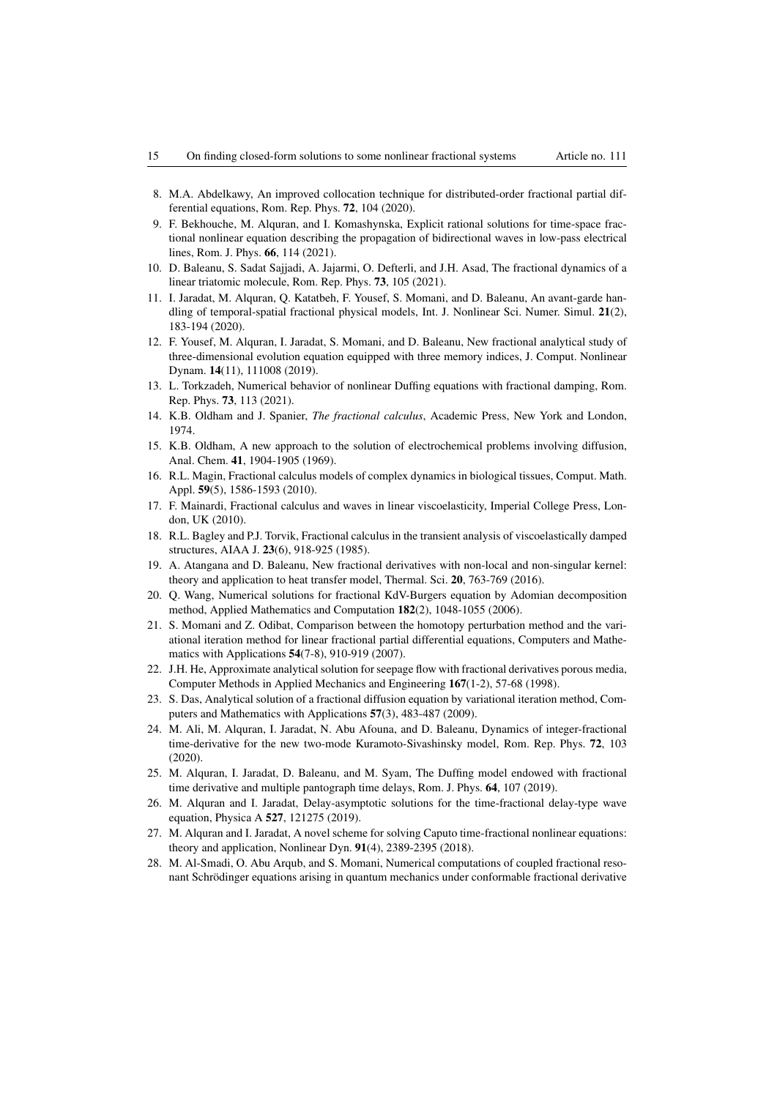- 8. M.A. Abdelkawy, An improved collocation technique for distributed-order fractional partial differential equations, Rom. Rep. Phys. 72, 104 (2020).
- 9. F. Bekhouche, M. Alquran, and I. Komashynska, Explicit rational solutions for time-space fractional nonlinear equation describing the propagation of bidirectional waves in low-pass electrical lines, Rom. J. Phys. 66, 114 (2021).
- 10. D. Baleanu, S. Sadat Sajjadi, A. Jajarmi, O. Defterli, and J.H. Asad, The fractional dynamics of a linear triatomic molecule, Rom. Rep. Phys. 73, 105 (2021).
- 11. I. Jaradat, M. Alquran, Q. Katatbeh, F. Yousef, S. Momani, and D. Baleanu, An avant-garde handling of temporal-spatial fractional physical models, Int. J. Nonlinear Sci. Numer. Simul. 21(2), 183-194 (2020).
- <span id="page-14-0"></span>12. F. Yousef, M. Alquran, I. Jaradat, S. Momani, and D. Baleanu, New fractional analytical study of three-dimensional evolution equation equipped with three memory indices, J. Comput. Nonlinear Dynam. 14(11), 111008 (2019).
- <span id="page-14-1"></span>13. L. Torkzadeh, Numerical behavior of nonlinear Duffing equations with fractional damping, Rom. Rep. Phys. 73, 113 (2021).
- 14. K.B. Oldham and J. Spanier, *The fractional calculus*, Academic Press, New York and London, 1974.
- 15. K.B. Oldham, A new approach to the solution of electrochemical problems involving diffusion, Anal. Chem. 41, 1904-1905 (1969).
- 16. R.L. Magin, Fractional calculus models of complex dynamics in biological tissues, Comput. Math. Appl. 59(5), 1586-1593 (2010).
- 17. F. Mainardi, Fractional calculus and waves in linear viscoelasticity, Imperial College Press, London, UK (2010).
- 18. R.L. Bagley and P.J. Torvik, Fractional calculus in the transient analysis of viscoelastically damped structures, AIAA J. 23(6), 918-925 (1985).
- <span id="page-14-2"></span>19. A. Atangana and D. Baleanu, New fractional derivatives with non-local and non-singular kernel: theory and application to heat transfer model, Thermal. Sci. 20, 763-769 (2016).
- <span id="page-14-3"></span>20. Q. Wang, Numerical solutions for fractional KdV-Burgers equation by Adomian decomposition method, Applied Mathematics and Computation 182(2), 1048-1055 (2006).
- 21. S. Momani and Z. Odibat, Comparison between the homotopy perturbation method and the variational iteration method for linear fractional partial differential equations, Computers and Mathematics with Applications 54(7-8), 910-919 (2007).
- 22. J.H. He, Approximate analytical solution for seepage flow with fractional derivatives porous media, Computer Methods in Applied Mechanics and Engineering 167(1-2), 57-68 (1998).
- 23. S. Das, Analytical solution of a fractional diffusion equation by variational iteration method, Computers and Mathematics with Applications 57(3), 483-487 (2009).
- 24. M. Ali, M. Alquran, I. Jaradat, N. Abu Afouna, and D. Baleanu, Dynamics of integer-fractional time-derivative for the new two-mode Kuramoto-Sivashinsky model, Rom. Rep. Phys. 72, 103 (2020).
- 25. M. Alquran, I. Jaradat, D. Baleanu, and M. Syam, The Duffing model endowed with fractional time derivative and multiple pantograph time delays, Rom. J. Phys. 64, 107 (2019).
- 26. M. Alquran and I. Jaradat, Delay-asymptotic solutions for the time-fractional delay-type wave equation, Physica A 527, 121275 (2019).
- 27. M. Alquran and I. Jaradat, A novel scheme for solving Caputo time-fractional nonlinear equations: theory and application, Nonlinear Dyn. 91(4), 2389-2395 (2018).
- 28. M. Al-Smadi, O. Abu Arqub, and S. Momani, Numerical computations of coupled fractional resonant Schrödinger equations arising in quantum mechanics under conformable fractional derivative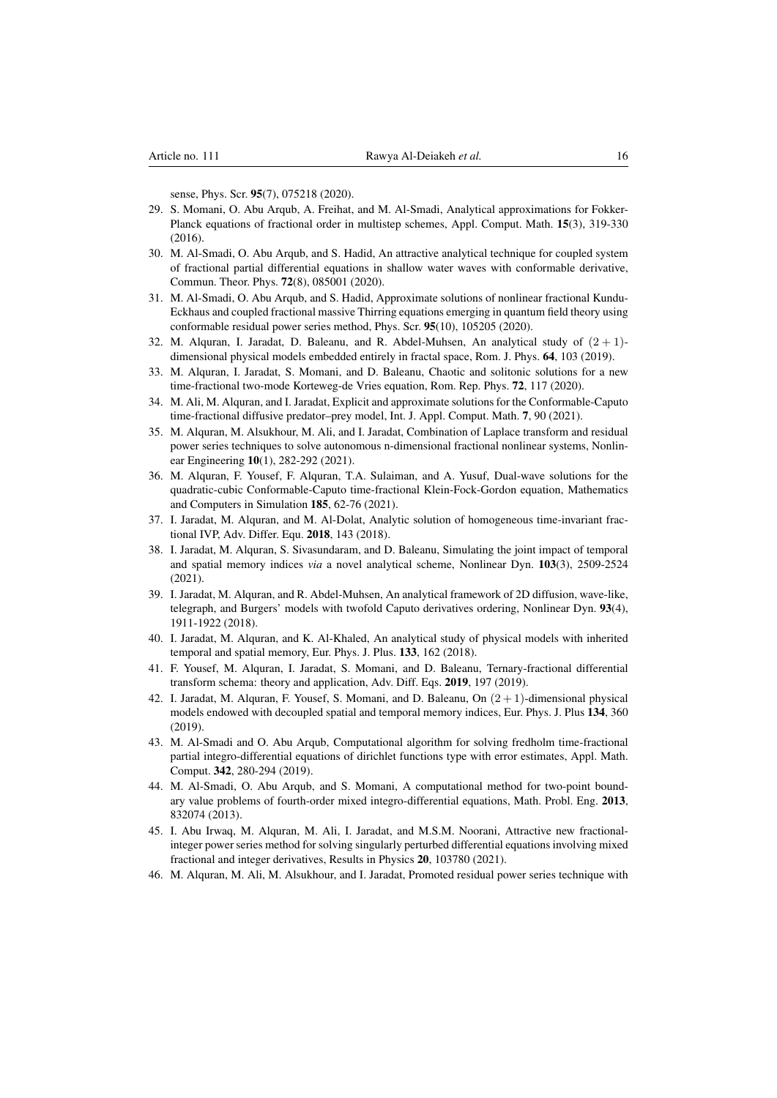sense, Phys. Scr. 95(7), 075218 (2020).

- 29. S. Momani, O. Abu Arqub, A. Freihat, and M. Al-Smadi, Analytical approximations for Fokker-Planck equations of fractional order in multistep schemes, Appl. Comput. Math. 15(3), 319-330  $(2016)$ .
- 30. M. Al-Smadi, O. Abu Arqub, and S. Hadid, An attractive analytical technique for coupled system of fractional partial differential equations in shallow water waves with conformable derivative, Commun. Theor. Phys. 72(8), 085001 (2020).
- 31. M. Al-Smadi, O. Abu Arqub, and S. Hadid, Approximate solutions of nonlinear fractional Kundu-Eckhaus and coupled fractional massive Thirring equations emerging in quantum field theory using conformable residual power series method, Phys. Scr. 95(10), 105205 (2020).
- 32. M. Alquran, I. Jaradat, D. Baleanu, and R. Abdel-Muhsen, An analytical study of  $(2 + 1)$ dimensional physical models embedded entirely in fractal space, Rom. J. Phys. 64, 103 (2019).
- 33. M. Alquran, I. Jaradat, S. Momani, and D. Baleanu, Chaotic and solitonic solutions for a new time-fractional two-mode Korteweg-de Vries equation, Rom. Rep. Phys. 72, 117 (2020).
- 34. M. Ali, M. Alquran, and I. Jaradat, Explicit and approximate solutions for the Conformable-Caputo time-fractional diffusive predator–prey model, Int. J. Appl. Comput. Math. 7, 90 (2021).
- 35. M. Alquran, M. Alsukhour, M. Ali, and I. Jaradat, Combination of Laplace transform and residual power series techniques to solve autonomous n-dimensional fractional nonlinear systems, Nonlinear Engineering 10(1), 282-292 (2021).
- 36. M. Alquran, F. Yousef, F. Alquran, T.A. Sulaiman, and A. Yusuf, Dual-wave solutions for the quadratic-cubic Conformable-Caputo time-fractional Klein-Fock-Gordon equation, Mathematics and Computers in Simulation 185, 62-76 (2021).
- 37. I. Jaradat, M. Alquran, and M. Al-Dolat, Analytic solution of homogeneous time-invariant fractional IVP, Adv. Differ. Equ. 2018, 143 (2018).
- 38. I. Jaradat, M. Alquran, S. Sivasundaram, and D. Baleanu, Simulating the joint impact of temporal and spatial memory indices *via* a novel analytical scheme, Nonlinear Dyn. 103(3), 2509-2524 (2021).
- 39. I. Jaradat, M. Alquran, and R. Abdel-Muhsen, An analytical framework of 2D diffusion, wave-like, telegraph, and Burgers' models with twofold Caputo derivatives ordering, Nonlinear Dyn. 93(4), 1911-1922 (2018).
- 40. I. Jaradat, M. Alquran, and K. Al-Khaled, An analytical study of physical models with inherited temporal and spatial memory, Eur. Phys. J. Plus. 133, 162 (2018).
- 41. F. Yousef, M. Alquran, I. Jaradat, S. Momani, and D. Baleanu, Ternary-fractional differential transform schema: theory and application, Adv. Diff. Eqs. 2019, 197 (2019).
- 42. I. Jaradat, M. Alquran, F. Yousef, S. Momani, and D. Baleanu, On (2 + 1)-dimensional physical models endowed with decoupled spatial and temporal memory indices, Eur. Phys. J. Plus 134, 360 (2019).
- 43. M. Al-Smadi and O. Abu Arqub, Computational algorithm for solving fredholm time-fractional partial integro-differential equations of dirichlet functions type with error estimates, Appl. Math. Comput. 342, 280-294 (2019).
- 44. M. Al-Smadi, O. Abu Arqub, and S. Momani, A computational method for two-point boundary value problems of fourth-order mixed integro-differential equations, Math. Probl. Eng. 2013, 832074 (2013).
- 45. I. Abu Irwaq, M. Alquran, M. Ali, I. Jaradat, and M.S.M. Noorani, Attractive new fractionalinteger power series method for solving singularly perturbed differential equations involving mixed fractional and integer derivatives, Results in Physics 20, 103780 (2021).
- 46. M. Alquran, M. Ali, M. Alsukhour, and I. Jaradat, Promoted residual power series technique with